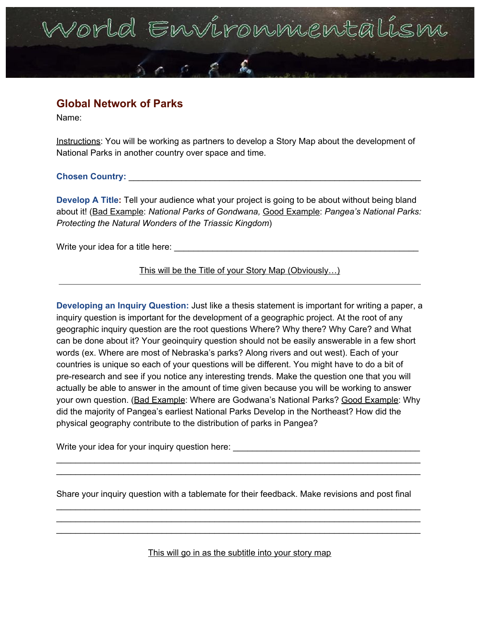## orld Environniental

### **Global Network of Parks**

Name:

Instructions: You will be working as partners to develop a Story Map about the development of National Parks in another country over space and time.

**Chosen Country:** \_\_\_\_\_\_\_\_\_\_\_\_\_\_\_\_\_\_\_\_\_\_\_\_\_\_\_\_\_\_\_\_\_\_\_\_\_\_\_\_\_\_\_\_\_\_\_\_\_\_\_\_\_\_\_\_\_\_\_\_\_

**Develop A Title:** Tell your audience what your project is going to be about without being bland about it! (Bad Example: *National Parks of Gondwana,* Good Example: *Pangea's National Parks: Protecting the Natural Wonders of the Triassic Kingdom*)

Write your idea for a title here:

This will be the Title of your Story Map (Obviously…)

**Developing an Inquiry Question:** Just like a thesis statement is important for writing a paper, a inquiry question is important for the development of a geographic project. At the root of any geographic inquiry question are the root questions Where? Why there? Why Care? and What can be done about it? Your geoinquiry question should not be easily answerable in a few short words (ex. Where are most of Nebraska's parks? Along rivers and out west). Each of your countries is unique so each of your questions will be different. You might have to do a bit of pre-research and see if you notice any interesting trends. Make the question one that you will actually be able to answer in the amount of time given because you will be working to answer your own question. (Bad Example: Where are Godwana's National Parks? Good Example: Why did the majority of Pangea's earliest National Parks Develop in the Northeast? How did the physical geography contribute to the distribution of parks in Pangea?

Write your idea for your inquiry question here: \_\_\_\_\_\_\_\_\_\_\_\_\_\_\_\_\_\_\_\_\_\_\_\_\_\_\_\_\_\_\_\_

Share your inquiry question with a tablemate for their feedback. Make revisions and post final

\_\_\_\_\_\_\_\_\_\_\_\_\_\_\_\_\_\_\_\_\_\_\_\_\_\_\_\_\_\_\_\_\_\_\_\_\_\_\_\_\_\_\_\_\_\_\_\_\_\_\_\_\_\_\_\_\_\_\_\_\_\_\_\_\_\_\_\_\_\_\_\_\_\_\_\_ \_\_\_\_\_\_\_\_\_\_\_\_\_\_\_\_\_\_\_\_\_\_\_\_\_\_\_\_\_\_\_\_\_\_\_\_\_\_\_\_\_\_\_\_\_\_\_\_\_\_\_\_\_\_\_\_\_\_\_\_\_\_\_\_\_\_\_\_\_\_\_\_\_\_\_\_ \_\_\_\_\_\_\_\_\_\_\_\_\_\_\_\_\_\_\_\_\_\_\_\_\_\_\_\_\_\_\_\_\_\_\_\_\_\_\_\_\_\_\_\_\_\_\_\_\_\_\_\_\_\_\_\_\_\_\_\_\_\_\_\_\_\_\_\_\_\_\_\_\_\_\_\_

\_\_\_\_\_\_\_\_\_\_\_\_\_\_\_\_\_\_\_\_\_\_\_\_\_\_\_\_\_\_\_\_\_\_\_\_\_\_\_\_\_\_\_\_\_\_\_\_\_\_\_\_\_\_\_\_\_\_\_\_\_\_\_\_\_\_\_\_\_\_\_\_\_\_\_\_ \_\_\_\_\_\_\_\_\_\_\_\_\_\_\_\_\_\_\_\_\_\_\_\_\_\_\_\_\_\_\_\_\_\_\_\_\_\_\_\_\_\_\_\_\_\_\_\_\_\_\_\_\_\_\_\_\_\_\_\_\_\_\_\_\_\_\_\_\_\_\_\_\_\_\_\_

This will go in as the subtitle into your story map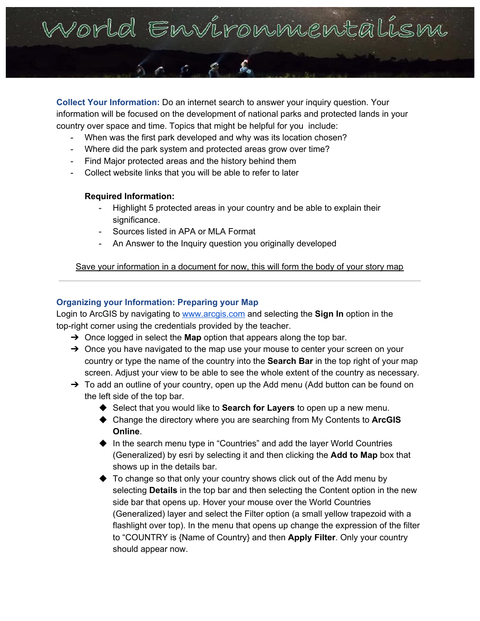

**Collect Your Information:** Do an internet search to answer your inquiry question. Your information will be focused on the development of national parks and protected lands in your country over space and time. Topics that might be helpful for you include:

- When was the first park developed and why was its location chosen?
- Where did the park system and protected areas grow over time?
- Find Major protected areas and the history behind them
- Collect website links that you will be able to refer to later

#### **Required Information:**

- Highlight 5 protected areas in your country and be able to explain their significance.
- Sources listed in APA or MLA Format
- An Answer to the Inquiry question you originally developed

Save your information in a document for now, this will form the body of your story map

### **Organizing your Information: Preparing your Map**

Login to ArcGIS by navigating to [www.arcgis.com](http://www.arcgis.com/) and selecting the **Sign In** option in the top-right corner using the credentials provided by the teacher.

- ➔ Once logged in select the **Map** option that appears along the top bar.
- → Once you have navigated to the map use your mouse to center your screen on your country or type the name of the country into the **Search Bar** in the top right of your map screen. Adjust your view to be able to see the whole extent of the country as necessary.
- $\rightarrow$  To add an outline of your country, open up the Add menu (Add button can be found on the left side of the top bar.
	- ◆ Select that you would like to **Search for Layers** to open up a new menu.
	- ◆ Change the directory where you are searching from My Contents to **ArcGIS Online**.
	- ◆ In the search menu type in "Countries" and add the layer World Countries (Generalized) by esri by selecting it and then clicking the **Add to Map** box that shows up in the details bar.
	- ◆ To change so that only your country shows click out of the Add menu by selecting **Details** in the top bar and then selecting the Content option in the new side bar that opens up. Hover your mouse over the World Countries (Generalized) layer and select the Filter option (a small yellow trapezoid with a flashlight over top). In the menu that opens up change the expression of the filter to "COUNTRY is {Name of Country} and then **Apply Filter**. Only your country should appear now.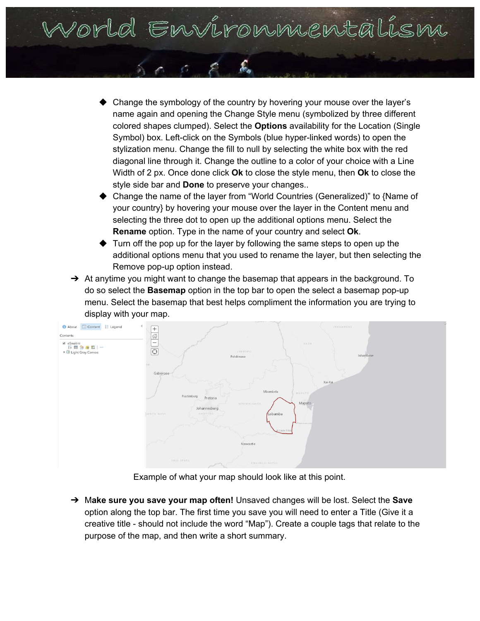Vorld Environmentalism

- Change the symbology of the country by hovering your mouse over the layer's name again and opening the Change Style menu (symbolized by three different colored shapes clumped). Select the **Options** availability for the Location (Single Symbol) box. Left-click on the Symbols (blue hyper-linked words) to open the stylization menu. Change the fill to null by selecting the white box with the red diagonal line through it. Change the outline to a color of your choice with a Line Width of 2 px. Once done click **Ok** to close the style menu, then **Ok** to close the style side bar and **Done** to preserve your changes..
- Change the name of the layer from "World Countries (Generalized)" to {Name of your country} by hovering your mouse over the layer in the Content menu and selecting the three dot to open up the additional options menu. Select the **Rename** option. Type in the name of your country and select **Ok**.
- Turn off the pop up for the layer by following the same steps to open up the additional options menu that you used to rename the layer, but then selecting the Remove pop-up option instead.
- $\rightarrow$  At anytime you might want to change the basemap that appears in the background. To do so select the **Basemap** option in the top bar to open the select a basemap pop-up menu. Select the basemap that best helps compliment the information you are trying to display with your map.



Example of what your map should look like at this point.

➔ M**ake sure you save your map often!** Unsaved changes will be lost. Select the **Save** option along the top bar. The first time you save you will need to enter a Title (Give it a creative title - should not include the word "Map"). Create a couple tags that relate to the purpose of the map, and then write a short summary.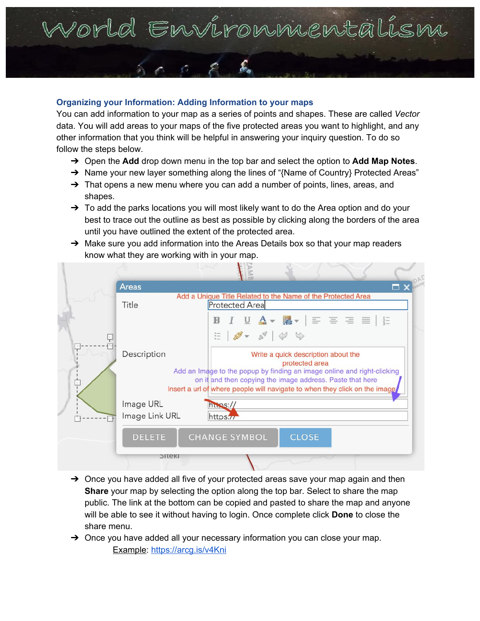### Vorld Environnentalism

#### **Organizing your Information: Adding Information to your maps**

You can add information to your map as a series of points and shapes. These are called *Vector* data. You will add areas to your maps of the five protected areas you want to highlight, and any other information that you think will be helpful in answering your inquiry question. To do so follow the steps below.

- ➔ Open the **Add** drop down menu in the top bar and select the option to **Add Map Notes**.
- → Name your new layer something along the lines of "{Name of Country} Protected Areas"
- → That opens a new menu where you can add a number of points, lines, areas, and shapes.
- $\rightarrow$  To add the parks locations you will most likely want to do the Area option and do your best to trace out the outline as best as possible by clicking along the borders of the area until you have outlined the extent of the protected area.
- → Make sure you add information into the Areas Details box so that your map readers know what they are working with in your map.



- $\rightarrow$  Once you have added all five of your protected areas save your map again and then **Share** your map by selecting the option along the top bar. Select to share the map public. The link at the bottom can be copied and pasted to share the map and anyone will be able to see it without having to login. Once complete click **Done** to close the share menu.
- $\rightarrow$  Once you have added all your necessary information you can close your map. Example: <https://arcg.is/v4Kni>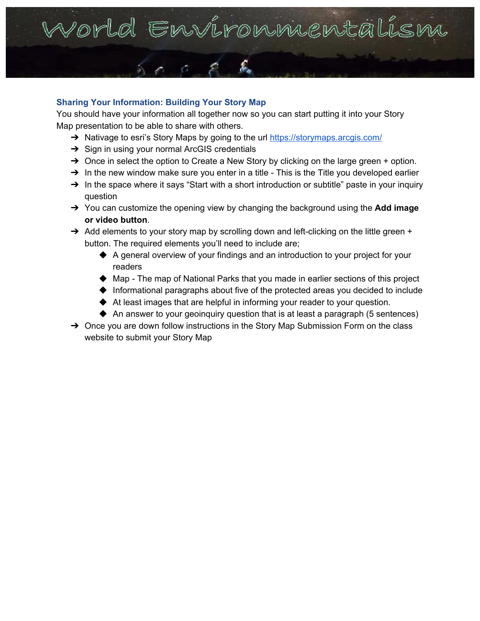### Porld Environniental

#### **Sharing Your Information: Building Your Story Map**

You should have your information all together now so you can start putting it into your Story Map presentation to be able to share with others.

- → Nativage to esri's Story Maps by going to the url <https://storymaps.arcgis.com/>
- **→** Sign in using your normal ArcGIS credentials
- $\rightarrow$  Once in select the option to Create a New Story by clicking on the large green + option.
- $\rightarrow$  In the new window make sure you enter in a title This is the Title you developed earlier
- $\rightarrow$  In the space where it says "Start with a short introduction or subtitle" paste in your inquiry question
- ➔ You can customize the opening view by changing the background using the **Add image or video button**.
- → Add elements to your story map by scrolling down and left-clicking on the little green + button. The required elements you'll need to include are;
	- ◆ A general overview of your findings and an introduction to your project for your readers
	- ◆ Map The map of National Parks that you made in earlier sections of this project
	- ◆ Informational paragraphs about five of the protected areas you decided to include
	- ◆ At least images that are helpful in informing your reader to your question.
	- ◆ An answer to your geoinquiry question that is at least a paragraph (5 sentences)
- → Once you are down follow instructions in the Story Map Submission Form on the class website to submit your Story Map